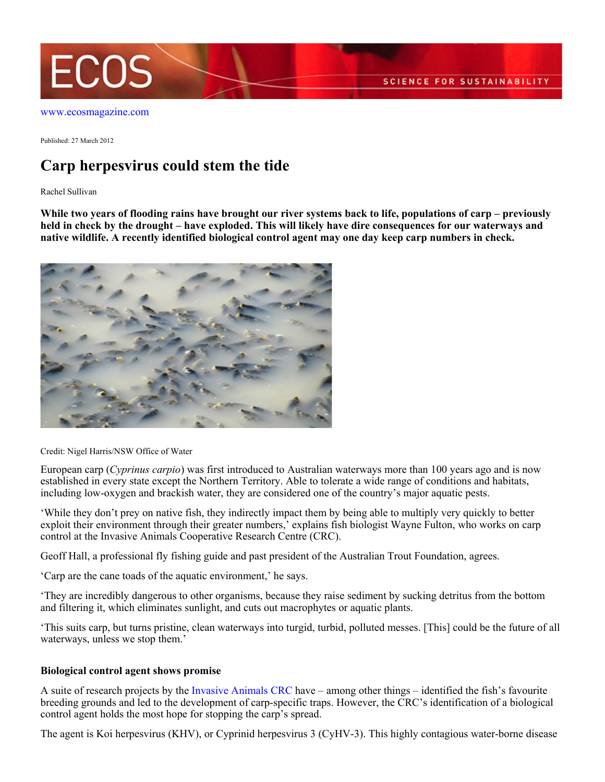

Published: 27 March 2012

## **Carp herpesvirus could stem the tide**

Rachel Sullivan

**While two years of flooding rains have brought our river systems back to life, populations of carp – previously held in check by the drought – have exploded. This will likely have dire consequences for our waterways and native wildlife. A recently identified biological control agent may one day keep carp numbers in check.**



Credit: Nigel Harris/NSW Office of Water

European carp (*Cyprinus carpio*) was first introduced to Australian waterways more than 100 years ago and is now established in every state except the Northern Territory. Able to tolerate a wide range of conditions and habitats, including low-oxygen and brackish water, they are considered one of the country's major aquatic pests.

'While they don't prey on native fish, they indirectly impact them by being able to multiply very quickly to better exploit their environment through their greater numbers,' explains fish biologist Wayne Fulton, who works on carp control at the Invasive Animals Cooperative Research Centre (CRC).

Geoff Hall, a professional fly fishing guide and past president of the Australian Trout Foundation, agrees.

'Carp are the cane toads of the aquatic environment,' he says.

'They are incredibly dangerous to other organisms, because they raise sediment by sucking detritus from the bottom and filtering it, which eliminates sunlight, and cuts out macrophytes or aquatic plants.

'This suits carp, but turns pristine, clean waterways into turgid, turbid, polluted messes. [This] could be the future of all waterways, unless we stop them.'

## **Biological control agent shows promise**

A suite of research projects by the [Invasive Animals CRC](http://www.invasiveanimals.com/research/goals/goal-4/) have – among other things – identified the fish's favourite breeding grounds and led to the development of carp-specific traps. However, the CRC's identification of a biological control agent holds the most hope for stopping the carp's spread.

The agent is Koi herpesvirus (KHV), or Cyprinid herpesvirus 3 (CyHV-3). This highly contagious water-borne disease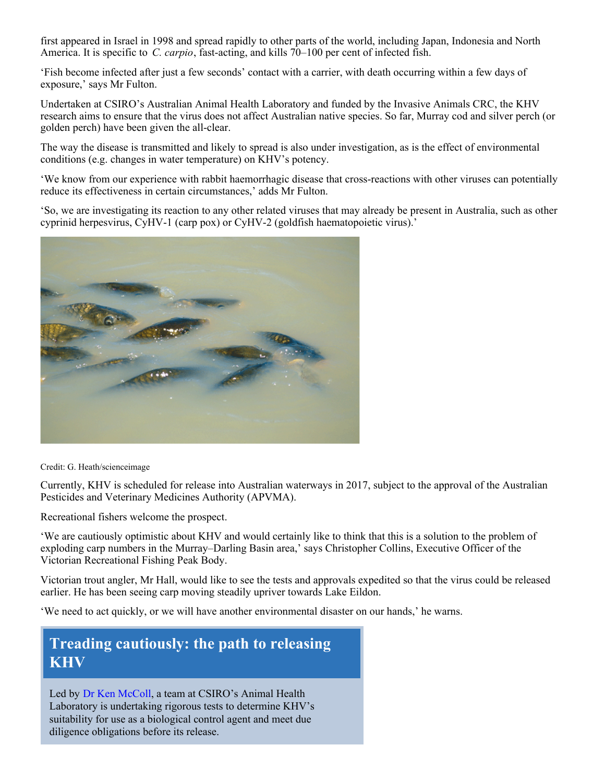first appeared in Israel in 1998 and spread rapidly to other parts of the world, including Japan, Indonesia and North America. It is specific to *C. carpio*, fast-acting, and kills 70–100 per cent of infected fish.

'Fish become infected after just a few seconds' contact with a carrier, with death occurring within a few days of exposure,' says Mr Fulton.

Undertaken at CSIRO's Australian Animal Health Laboratory and funded by the Invasive Animals CRC, the KHV research aims to ensure that the virus does not affect Australian native species. So far, Murray cod and silver perch (or golden perch) have been given the all-clear.

The way the disease is transmitted and likely to spread is also under investigation, as is the effect of environmental conditions (e.g. changes in water temperature) on KHV's potency.

'We know from our experience with rabbit haemorrhagic disease that cross-reactions with other viruses can potentially reduce its effectiveness in certain circumstances,' adds Mr Fulton.

'So, we are investigating its reaction to any other related viruses that may already be present in Australia, such as other cyprinid herpesvirus, CyHV-1 (carp pox) or CyHV-2 (goldfish haematopoietic virus).'



Credit: G. Heath/scienceimage

Currently, KHV is scheduled for release into Australian waterways in 2017, subject to the approval of the Australian Pesticides and Veterinary Medicines Authority (APVMA).

Recreational fishers welcome the prospect.

'We are cautiously optimistic about KHV and would certainly like to think that this is a solution to the problem of exploding carp numbers in the Murray–Darling Basin area,' says Christopher Collins, Executive Officer of the Victorian Recreational Fishing Peak Body.

Victorian trout angler, Mr Hall, would like to see the tests and approvals expedited so that the virus could be released earlier. He has been seeing carp moving steadily upriver towards Lake Eildon.

'We need to act quickly, or we will have another environmental disaster on our hands,' he warns.

## **Treading cautiously: the path to releasing KHV**

Led by [Dr Ken McColl](http://www.csiro.au/Organisation-Structure/Divisions/Livestock-Industries/KenMcColl.aspx), a team at CSIRO's Animal Health Laboratory is undertaking rigorous tests to determine KHV's suitability for use as a biological control agent and meet due diligence obligations before its release.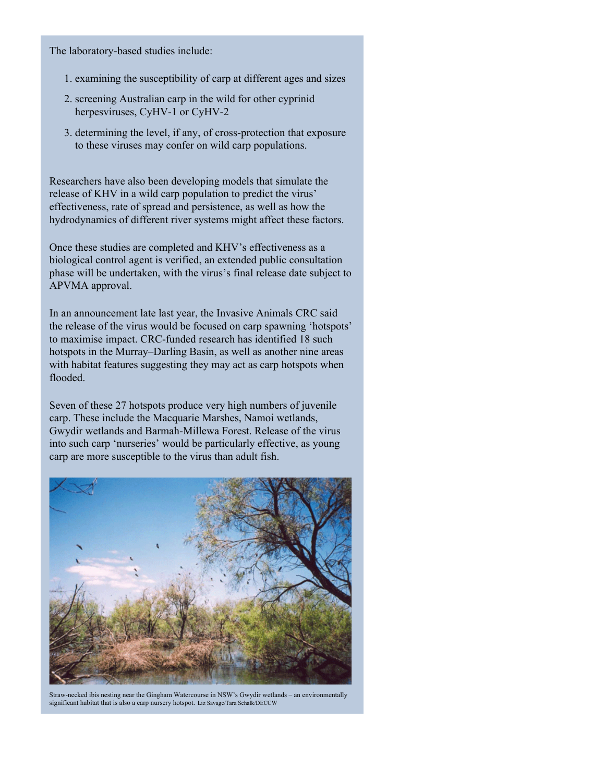The laboratory-based studies include:

- 1. examining the susceptibility of carp at different ages and sizes
- 2. screening Australian carp in the wild for other cyprinid herpesviruses, CyHV-1 or CyHV-2
- 3. determining the level, if any, of cross-protection that exposure to these viruses may confer on wild carp populations.

Researchers have also been developing models that simulate the release of KHV in a wild carp population to predict the virus' effectiveness, rate of spread and persistence, as well as how the hydrodynamics of different river systems might affect these factors.

Once these studies are completed and KHV's effectiveness as a biological control agent is verified, an extended public consultation phase will be undertaken, with the virus's final release date subject to APVMA approval.

In an announcement late last year, the Invasive Animals CRC said the release of the virus would be focused on carp spawning 'hotspots' to maximise impact. CRC-funded research has identified 18 such hotspots in the Murray–Darling Basin, as well as another nine areas with habitat features suggesting they may act as carp hotspots when flooded.

Seven of these 27 hotspots produce very high numbers of juvenile carp. These include the Macquarie Marshes, Namoi wetlands, Gwydir wetlands and Barmah-Millewa Forest. Release of the virus into such carp 'nurseries' would be particularly effective, as young carp are more susceptible to the virus than adult fish.



Straw-necked ibis nesting near the Gingham Watercourse in NSW's Gwydir wetlands – an environmentally significant habitat that is also a carp nursery hotspot. Liz Savage/Tara Schalk/DECCW